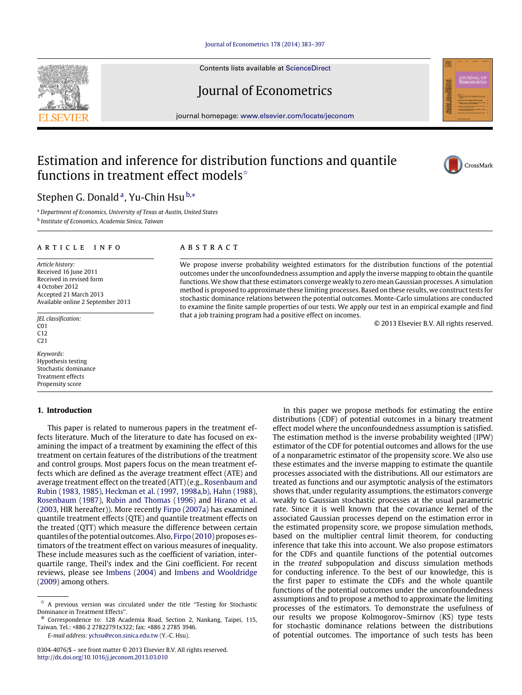#### [Journal of Econometrics 178 \(2014\) 383–397](http://dx.doi.org/10.1016/j.jeconom.2013.03.010)

Contents lists available at [ScienceDirect](http://www.elsevier.com/locate/jeconom)

## Journal of Econometrics

journal homepage: [www.elsevier.com/locate/jeconom](http://www.elsevier.com/locate/jeconom)

# Estimation and inference for distribution functions and quantile functions in treatment effect models<sup> $\star$ </sup>

## Stephen G. Don[a](#page-0-1)ld<sup>a</sup>, Yu-Chin Hsu<sup>[b,](#page-0-2)</sup>\*

<span id="page-0-2"></span><span id="page-0-1"></span><sup>a</sup> *Department of Economics, University of Texas at Austin, United States* b *Institute of Economics, Academia Sinica, Taiwan*

#### ARTICLE INFO

*Article history:* Received 16 June 2011 Received in revised form 4 October 2012 Accepted 21 March 2013 Available online 2 September 2013

*JEL classification:* C01 C12 C21

*Keywords:* Hypothesis testing Stochastic dominance Treatment effects Propensity score

#### **1. Introduction**

This paper is related to numerous papers in the treatment effects literature. Much of the literature to date has focused on examining the impact of a treatment by examining the effect of this treatment on certain features of the distributions of the treatment and control groups. Most papers focus on the mean treatment effects which are defined as the average treatment effect (ATE) and average treatment effect on the treated (ATT) (e.g., [Rosenbaum](#page--1-0) [and](#page--1-0) [Rubin](#page--1-0) [\(1983,](#page--1-0) [1985\),](#page--1-1) [Heckman](#page--1-2) [et al.](#page--1-2) [\(1997,](#page--1-2) [1998a](#page--1-3)[,b\),](#page--1-4) [Hahn](#page--1-5) [\(1988\)](#page--1-5), [Rosenbaum](#page--1-6) [\(1987\)](#page--1-6), [Rubin](#page--1-7) [and](#page--1-7) [Thomas](#page--1-7) [\(1996\)](#page--1-7) and [Hirano](#page--1-8) [et al.](#page--1-8) [\(2003,](#page--1-8) HIR hereafter)). More recently [Firpo](#page--1-9) [\(2007a\)](#page--1-9) has examined quantile treatment effects (QTE) and quantile treatment effects on the treated (QTT) which measure the difference between certain quantiles of the potential outcomes. Also, [Firpo](#page--1-10) [\(2010\)](#page--1-10) proposes estimators of the treatment effect on various measures of inequality. These include measures such as the coefficient of variation, interquartile range, Theil's index and the Gini coefficient. For recent reviews, please see [Imbens](#page--1-11) [\(2004\)](#page--1-11) and [Imbens](#page--1-12) [and](#page--1-12) [Wooldridge](#page--1-12) [\(2009\)](#page--1-12) among others.

*E-mail address:* [ychsu@econ.sinica.edu.tw](mailto:ychsu@econ.sinica.edu.tw) (Y.-C. Hsu).

#### A B S T R A C T

We propose inverse probability weighted estimators for the distribution functions of the potential outcomes under the unconfoundedness assumption and apply the inverse mapping to obtain the quantile functions. We show that these estimators converge weakly to zero mean Gaussian processes. A simulation method is proposed to approximate these limiting processes. Based on these results, we construct tests for stochastic dominance relations between the potential outcomes. Monte-Carlo simulations are conducted to examine the finite sample properties of our tests. We apply our test in an empirical example and find that a job training program had a positive effect on incomes.

© 2013 Elsevier B.V. All rights reserved.

In this paper we propose methods for estimating the entire distributions (CDF) of potential outcomes in a binary treatment effect model where the unconfoundedness assumption is satisfied. The estimation method is the inverse probability weighted (IPW) estimator of the CDF for potential outcomes and allows for the use of a nonparametric estimator of the propensity score. We also use these estimates and the inverse mapping to estimate the quantile processes associated with the distributions. All our estimators are treated as functions and our asymptotic analysis of the estimators shows that, under regularity assumptions, the estimators converge weakly to Gaussian stochastic processes at the usual parametric rate. Since it is well known that the covariance kernel of the associated Gaussian processes depend on the estimation error in the estimated propensity score, we propose simulation methods, based on the multiplier central limit theorem, for conducting inference that take this into account. We also propose estimators for the CDFs and quantile functions of the potential outcomes in the *treated* subpopulation and discuss simulation methods for conducting inference. To the best of our knowledge, this is the first paper to estimate the CDFs and the whole quantile functions of the potential outcomes under the unconfoundedness assumptions and to propose a method to approximate the limiting processes of the estimators. To demonstrate the usefulness of our results we propose Kolmogorov–Smirnov (KS) type tests for stochastic dominance relations between the distributions of potential outcomes. The importance of such tests has been





<span id="page-0-0"></span> $\overrightarrow{x}$  A previous version was circulated under the title "Testing for Stochastic Dominance in Treatment Effects''.

<span id="page-0-3"></span>Correspondence to: 128 Academia Road, Section 2, Nankang, Taipei, 115, Taiwan. Tel.: +886 2 27822791x322; fax: +886 2 2785 3946.

<sup>0304-4076/\$ –</sup> see front matter © 2013 Elsevier B.V. All rights reserved. <http://dx.doi.org/10.1016/j.jeconom.2013.03.010>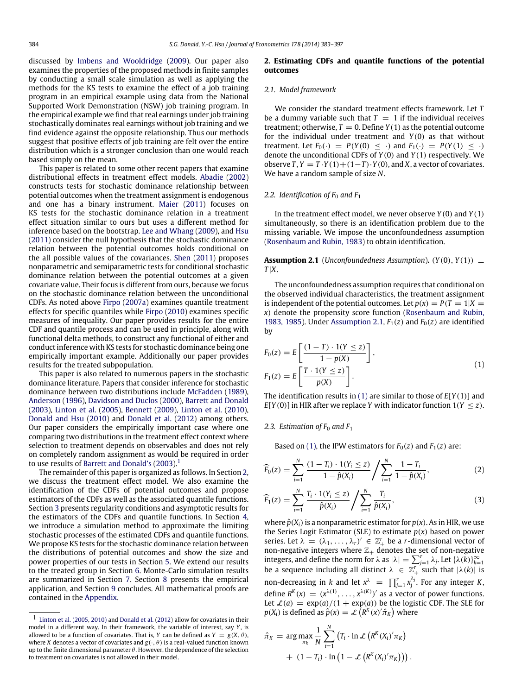discussed by [Imbens](#page--1-12) [and](#page--1-12) [Wooldridge](#page--1-12) [\(2009\)](#page--1-12). Our paper also examines the properties of the proposed methods in finite samples by conducting a small scale simulation as well as applying the methods for the KS tests to examine the effect of a job training program in an empirical example using data from the National Supported Work Demonstration (NSW) job training program. In the empirical example we find that real earnings under job training stochastically dominates real earnings without job training and we find evidence against the opposite relationship. Thus our methods suggest that positive effects of job training are felt over the entire distribution which is a stronger conclusion than one would reach based simply on the mean.

This paper is related to some other recent papers that examine distributional effects in treatment effect models. [Abadie](#page--1-13) [\(2002\)](#page--1-13) constructs tests for stochastic dominance relationship between potential outcomes when the treatment assignment is endogenous and one has a binary instrument. [Maier](#page--1-14) [\(2011\)](#page--1-14) focuses on KS tests for the stochastic dominance relation in a treatment effect situation similar to ours but uses a different method for inference based on the bootstrap. [Lee](#page--1-15) [and](#page--1-15) [Whang](#page--1-15) [\(2009\)](#page--1-15), and [Hsu](#page--1-16) [\(2011\)](#page--1-16) consider the null hypothesis that the stochastic dominance relation between the potential outcomes holds conditional on the all possible values of the covariances. [Shen](#page--1-17) [\(2011\)](#page--1-17) proposes nonparametric and semiparametric tests for conditional stochastic dominance relation between the potential outcomes at a given covariate value. Their focus is different from ours, because we focus on the stochastic dominance relation between the unconditional CDFs. As noted above [Firpo](#page--1-9) [\(2007a\)](#page--1-9) examines quantile treatment effects for specific quantiles while [Firpo](#page--1-10) [\(2010\)](#page--1-10) examines specific measures of inequality. Our paper provides results for the entire CDF and quantile process and can be used in principle, along with functional delta methods, to construct any functional of either and conduct inference with KS tests for stochastic dominance being one empirically important example. Additionally our paper provides results for the treated subpopulation.

This paper is also related to numerous papers in the stochastic dominance literature. Papers that consider inference for stochastic dominance between two distributions include [McFadden](#page--1-18) [\(1989\)](#page--1-18), [Anderson](#page--1-19) [\(1996\)](#page--1-19), [Davidson](#page--1-20) [and](#page--1-20) [Duclos](#page--1-20) [\(2000\)](#page--1-20), [Barrett](#page--1-21) [and](#page--1-21) [Donald](#page--1-21) [\(2003\)](#page--1-21), [Linton](#page--1-22) [et al.](#page--1-22) [\(2005\)](#page--1-22), [Bennett](#page--1-23) [\(2009\)](#page--1-23), [Linton](#page--1-24) [et al.](#page--1-24) [\(2010\)](#page--1-24), [Donald](#page--1-25) [and](#page--1-25) [Hsu](#page--1-25) [\(2010\)](#page--1-25) and [Donald](#page--1-26) [et al.](#page--1-26) [\(2012\)](#page--1-26) among others. Our paper considers the empirically important case where one comparing two distributions in the treatment effect context where selection to treatment depends on observables and does not rely on completely random assignment as would be required in order to use results of [Barrett](#page--1-21) [and](#page--1-21) [Donald's](#page--1-21) [\(2003\)](#page--1-21).<sup>[1](#page-1-0)</sup>

The remainder of this paper is organized as follows. In Section [2,](#page-1-1) we discuss the treatment effect model. We also examine the identification of the CDFs of potential outcomes and propose estimators of the CDFs as well as the associated quantile functions. Section [3](#page--1-27) presents regularity conditions and asymptotic results for the estimators of the CDFs and quantile functions. In Section [4,](#page--1-28) we introduce a simulation method to approximate the limiting stochastic processes of the estimated CDFs and quantile functions. We propose KS tests for the stochastic dominance relation between the distributions of potential outcomes and show the size and power properties of our tests in Section [5.](#page--1-29) We extend our results to the treated group in Section [6.](#page--1-30) Monte-Carlo simulation results are summarized in Section [7.](#page--1-31) Section [8](#page--1-32) presents the empirical application, and Section [9](#page--1-33) concludes. All mathematical proofs are contained in the [Appendix.](#page--1-34)

#### <span id="page-1-1"></span>**2. Estimating CDFs and quantile functions of the potential outcomes**

#### *2.1. Model framework*

We consider the standard treatment effects framework. Let *T* be a dummy variable such that  $T = 1$  if the individual receives treatment; otherwise,  $T = 0$ . Define  $Y(1)$  as the potential outcome for the individual under treatment and *Y*(0) as that without treatment. Let  $F_0(\cdot) = P(Y(0) \leq \cdot)$  and  $F_1(\cdot) = P(Y(1) \leq \cdot)$ denote the unconditional CDFs of *Y*(0) and *Y*(1) respectively. We observe  $T, Y = T \cdot Y(1) + (1 - T) \cdot Y(0)$ , and *X*, a vector of covariates. We have a random sample of size *N*.

#### *2.2. Identification of F*<sup>0</sup> *and F*<sup>1</sup>

In the treatment effect model, we never observe *Y*(0) and *Y*(1) simultaneously, so there is an identification problem due to the missing variable. We impose the unconfoundedness assumption [\(Rosenbaum](#page--1-0) [and](#page--1-0) [Rubin,](#page--1-0) [1983\)](#page--1-0) to obtain identification.

<span id="page-1-2"></span>**Assumption 2.1** (*Unconfoundedness Assumption*).  $(Y(0), Y(1)) \perp$ *T* |*X*.

The unconfoundedness assumption requires that conditional on the observed individual characteristics, the treatment assignment is independent of the potential outcomes. Let  $p(x) = P(T = 1|X = 1)$ *x*) denote the propensity score function [\(Rosenbaum](#page--1-0) [and](#page--1-0) [Rubin,](#page--1-0) [1983,](#page--1-0) [1985\)](#page--1-1). Under [Assumption 2.1,](#page-1-2)  $F_1(z)$  and  $F_0(z)$  are identified by

<span id="page-1-3"></span>
$$
F_0(z) = E\left[\frac{(1-T) \cdot 1(Y \le z)}{1 - p(X)}\right],
$$
  
\n
$$
F_1(z) = E\left[\frac{T \cdot 1(Y \le z)}{p(X)}\right].
$$
\n(1)

The identification results in [\(1\)](#page-1-3) are similar to those of *E*[*Y*(1)] and  $E[Y(0)]$  in HIR after we replace *Y* with indicator function  $1(Y \le z)$ .

#### *2.3. Estimation of F*<sup>0</sup> *and F*<sup>1</sup>

Based on [\(1\),](#page-1-3) the IPW estimators for  $F_0(z)$  and  $F_1(z)$  are:

$$
\widehat{F}_0(z) = \sum_{i=1}^N \frac{(1 - T_i) \cdot 1(Y_i \le z)}{1 - \widehat{p}(X_i)} / \sum_{i=1}^N \frac{1 - T_i}{1 - \widehat{p}(X_i)},
$$
\n(2)

$$
\widehat{F}_1(z) = \sum_{i=1}^N \frac{T_i \cdot 1(Y_i \le z)}{\widehat{p}(X_i)} / \sum_{i=1}^N \frac{T_i}{\widehat{p}(X_i)},
$$
\n(3)

where  $\hat{p}(X_i)$  is a nonparametric estimator for  $p(x)$ . As in HIR, we use the Series Logit Estimator (SLE) to estimate  $p(x)$  based on power series. Let  $\lambda = (\lambda_1, \ldots, \lambda_r)' \in \mathbb{Z}_+^r$  be a *r*-dimensional vector of non-negative integers where  $\mathbb{Z}_+$  denotes the set of non-negative integers, and define the norm for  $\lambda$  as  $|\lambda| = \sum_{j=1}^{r} \lambda_j$ . Let  $\{\lambda(k)\}_{k=1}^{\infty}$  be a sequence including all distinct  $\lambda \in \mathbb{Z}_+^r$  such that  $|\lambda(k)|$  is non-decreasing in *k* and let  $x^{\lambda} = \prod_{j=1}^{r} x_j^{\lambda_j}$ . For any integer *K*, define  $R^K(x) = (x^{\lambda(1)}, \dots, x^{\lambda(K)})'$  as a vector of power functions. Let  $\mathcal{L}(a) = \exp(a)/(1 + \exp(a))$  be the logistic CDF. The SLE for  $p(X_i)$  is defined as  $\hat{p}(x) = \mathcal{L}\left(R^K(x)'\hat{\pi}_K\right)$  where

$$
\hat{\pi}_K = \arg \max_{\pi_k} \frac{1}{N} \sum_{i=1}^N (T_i \cdot \ln \mathcal{L} \left( R^K(X_i)'\pi_K \right) + (1 - T_i) \cdot \ln \left( 1 - \mathcal{L} \left( R^K(X_i)'\pi_K \right) \right).
$$

<span id="page-1-0"></span><sup>1</sup> [Linton](#page--1-22) [et al.](#page--1-22) [\(2005,](#page--1-22) [2010\)](#page--1-24) and [Donald](#page--1-26) [et al.](#page--1-26) [\(2012\)](#page--1-26) allow for covariates in their model in a different way. In their framework, the variable of interest, say *Y*, is allowed to be a function of covariates. That is, *Y* can be defined as  $Y = g(X, \theta)$ , where *X* denotes a vector of covariates and  $g(\cdot, \theta)$  is a real-valued function known up to the finite dimensional parameter  $\theta$ . However, the dependence of the selection to treatment on covariates is not allowed in their model.